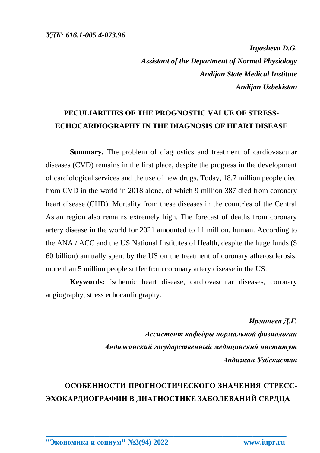*Irgasheva D.G. Assistant of the Department of Normal Physiology Andijan State Medical Institute Andijan Uzbekistan*

## **PECULIARITIES OF THE PROGNOSTIC VALUE OF STRESS-ECHOCARDIOGRAPHY IN THE DIAGNOSIS OF HEART DISEASE**

**Summary.** The problem of diagnostics and treatment of cardiovascular diseases (CVD) remains in the first place, despite the progress in the development of cardiological services and the use of new drugs. Today, 18.7 million people died from CVD in the world in 2018 alone, of which 9 million 387 died from coronary heart disease (CHD). Mortality from these diseases in the countries of the Central Asian region also remains extremely high. The forecast of deaths from coronary artery disease in the world for 2021 amounted to 11 million. human. According to the ANA / ACC and the US National Institutes of Health, despite the huge funds (\$ 60 billion) annually spent by the US on the treatment of coronary atherosclerosis, more than 5 million people suffer from coronary artery disease in the US.

**Keywords:** ischemic heart disease, cardiovascular diseases, coronary angiography, stress echocardiography.

> *Иргашева Д.Г. Ассистент кафедры нормальной физиологии Андижанский государственный медицинский институт Андижан Узбекистан*

## **ОСОБЕННОСТИ ПРОГНОСТИЧЕСКОГО ЗНАЧЕНИЯ СТРЕСС-ЭХОКАРДИОГРАФИИ В ДИАГНОСТИКЕ ЗАБОЛЕВАНИЙ СЕРДЦА**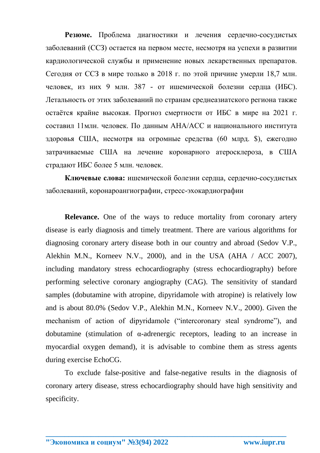**Резюме.** Проблема диагностики и лечения сердечно-сосудистых заболеваний (ССЗ) остается на первом месте, несмотря на успехи в развитии кардиологической службы и применение новых лекарственных препаратов. Сегодня от ССЗ в мире только в 2018 г. по этой причине умерли 18,7 млн. человек, из них 9 млн. 387 - от ишемической болезни сердца (ИБС). Летальность от этих заболеваний по странам среднеазиатского региона также остаётся крайне высокая. Прогноз смертности от ИБС в мире на 2021 г. составил 11млн. человек. По данным АНА/АСС и национального института здоровья США, несмотря на огромные средства (60 млрд. \$), ежегодно затрачиваемые США на лечение коронарного атеросклероза, в США страдают ИБС более 5 млн. человек.

**Ключевые слова:** ишемической болезни сердца, сердечно-сосудистых заболеваний, коронароангиографии, стресс-эхокардиографии

**Relevance.** One of the ways to reduce mortality from coronary artery disease is early diagnosis and timely treatment. There are various algorithms for diagnosing coronary artery disease both in our country and abroad (Sedov V.P., Alekhin M.N., Korneev N.V., 2000), and in the USA (AHA / ACC 2007), including mandatory stress echocardiography (stress echocardiography) before performing selective coronary angiography (CAG). The sensitivity of standard samples (dobutamine with atropine, dipyridamole with atropine) is relatively low and is about 80.0% (Sedov V.P., Alekhin M.N., Korneev N.V., 2000). Given the mechanism of action of dipyridamole ("intercoronary steal syndrome"), and dobutamine (stimulation of  $\alpha$ -adrenergic receptors, leading to an increase in myocardial oxygen demand), it is advisable to combine them as stress agents during exercise EchoCG.

To exclude false-positive and false-negative results in the diagnosis of coronary artery disease, stress echocardiography should have high sensitivity and specificity.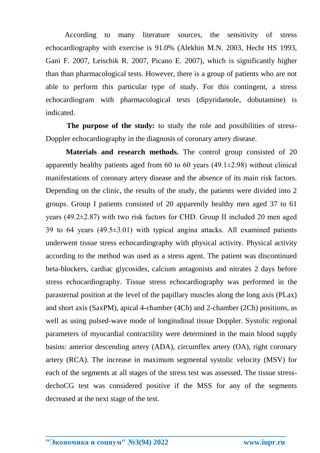According to many literature sources, the sensitivity of stress echocardiography with exercise is 91.0% (Alekhin M.N. 2003, Hecht HS 1993, Gani F. 2007, Leischik R. 2007, Picano E. 2007), which is significantly higher than than pharmacological tests. However, there is a group of patients who are not able to perform this particular type of study. For this contingent, a stress echocardiogram with pharmacological tests (dipyridamole, dobutamine) is indicated.

**The purpose of the study:** to study the role and possibilities of stress-Doppler echocardiography in the diagnosis of coronary artery disease.

**Materials and research methods.** The control group consisted of 20 apparently healthy patients aged from 60 to 60 years  $(49.1\pm 2.98)$  without clinical manifestations of coronary artery disease and the absence of its main risk factors. Depending on the clinic, the results of the study, the patients were divided into 2 groups. Group I patients consisted of 20 apparently healthy men aged 37 to 61 years (49.2±2.87) with two risk factors for CHD. Group II included 20 men aged 39 to 64 years  $(49.5\pm3.01)$  with typical angina attacks. All examined patients underwent tissue stress echocardiography with physical activity. Physical activity according to the method was used as a stress agent. The patient was discontinued beta-blockers, cardiac glycosides, calcium antagonists and nitrates 2 days before stress echocardiography. Tissue stress echocardiography was performed in the parasternal position at the level of the papillary muscles along the long axis (PLax) and short axis (SaxPM), apical 4-chamber (4Ch) and 2-chamber (2Ch) positions, as well as using pulsed-wave mode of longitudinal tissue Doppler. Systolic regional parameters of myocardial contractility were determined in the main blood supply basins: anterior descending artery (ADA), circumflex artery (OA), right coronary artery (RCA). The increase in maximum segmental systolic velocity (MSV) for each of the segments at all stages of the stress test was assessed. The tissue stressdechoCG test was considered positive if the MSS for any of the segments decreased at the next stage of the test.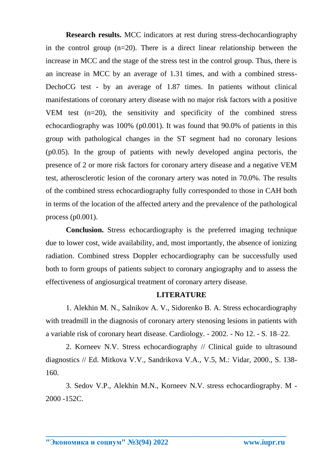**Research results.** MCC indicators at rest during stress-dechocardiography in the control group (n=20). There is a direct linear relationship between the increase in MCC and the stage of the stress test in the control group. Thus, there is an increase in MCC by an average of 1.31 times, and with a combined stress-DechoCG test - by an average of 1.87 times. In patients without clinical manifestations of coronary artery disease with no major risk factors with a positive VEM test (n=20), the sensitivity and specificity of the combined stress echocardiography was 100% (p0.001). It was found that 90.0% of patients in this group with pathological changes in the ST segment had no coronary lesions (p0.05). In the group of patients with newly developed angina pectoris, the presence of 2 or more risk factors for coronary artery disease and a negative VEM test, atherosclerotic lesion of the coronary artery was noted in 70.0%. The results of the combined stress echocardiography fully corresponded to those in CAH both in terms of the location of the affected artery and the prevalence of the pathological process (p0.001).

**Conclusion.** Stress echocardiography is the preferred imaging technique due to lower cost, wide availability, and, most importantly, the absence of ionizing radiation. Combined stress Doppler echocardiography can be successfully used both to form groups of patients subject to coronary angiography and to assess the effectiveness of angiosurgical treatment of coronary artery disease.

## **LITERATURE**

1. Alekhin M. N., Salnikov A. V., Sidorenko B. A. Stress echocardiography with treadmill in the diagnosis of coronary artery stenosing lesions in patients with a variable risk of coronary heart disease. Cardiology. - 2002. - No 12. - S. 18–22.

2. Korneev N.V. Stress echocardiography // Clinical guide to ultrasound diagnostics // Ed. Mitkova V.V., Sandrikova V.A., V.5, M.: Vidar, 2000., S. 138- 160.

3. Sedov V.P., Alekhin M.N., Korneev N.V. stress echocardiography. M - 2000 -152C.